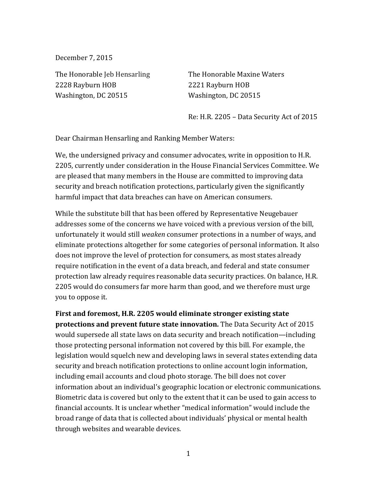December 7, 2015

2228 Rayburn HOB 2221 Rayburn HOB Washington, DC 20515 Washington, DC 20515

The Honorable Jeb Hensarling The Honorable Maxine Waters

Re: H.R. 2205 – Data Security Act of 2015

Dear Chairman Hensarling and Ranking Member Waters:

We, the undersigned privacy and consumer advocates, write in opposition to H.R. 2205, currently under consideration in the House Financial Services Committee. We are pleased that many members in the House are committed to improving data security and breach notification protections, particularly given the significantly harmful impact that data breaches can have on American consumers.

While the substitute bill that has been offered by Representative Neugebauer addresses some of the concerns we have voiced with a previous version of the bill, unfortunately it would still *weaken* consumer protections in a number of ways, and eliminate protections altogether for some categories of personal information. It also does not improve the level of protection for consumers, as most states already require notification in the event of a data breach, and federal and state consumer protection law already requires reasonable data security practices. On balance, H.R. 2205 would do consumers far more harm than good, and we therefore must urge you to oppose it.

**First and foremost, H.R. 2205 would eliminate stronger existing state protections and prevent future state innovation.** The Data Security Act of 2015 would supersede all state laws on data security and breach notification—including those protecting personal information not covered by this bill. For example, the legislation would squelch new and developing laws in several states extending data security and breach notification protections to online account login information, including email accounts and cloud photo storage. The bill does not cover information about an individual's geographic location or electronic communications. Biometric data is covered but only to the extent that it can be used to gain access to financial accounts. It is unclear whether "medical information" would include the broad range of data that is collected about individuals' physical or mental health through websites and wearable devices.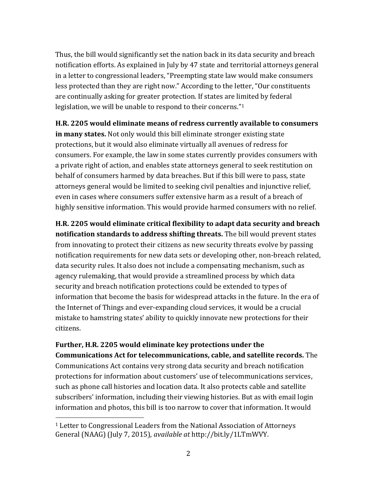Thus, the bill would significantly set the nation back in its data security and breach notification efforts. As explained in July by 47 state and territorial attorneys general in a letter to congressional leaders, "Preempting state law would make consumers less protected than they are right now." According to the letter, "Our constituents are continually asking for greater protection. If states are limited by federal legislation, we will be unable to respond to their concerns."<sup>1</sup>

**H.R. 2205 would eliminate means of redress currently available to consumers in many states.** Not only would this bill eliminate stronger existing state protections, but it would also eliminate virtually all avenues of redress for consumers. For example, the law in some states currently provides consumers with a private right of action, and enables state attorneys general to seek restitution on behalf of consumers harmed by data breaches. But if this bill were to pass, state attorneys general would be limited to seeking civil penalties and injunctive relief, even in cases where consumers suffer extensive harm as a result of a breach of highly sensitive information. This would provide harmed consumers with no relief.

**H.R. 2205 would eliminate critical flexibility to adapt data security and breach notification standards to address shifting threats.** The bill would prevent states from innovating to protect their citizens as new security threats evolve by passing notification requirements for new data sets or developing other, non-breach related, data security rules. It also does not include a compensating mechanism, such as agency rulemaking, that would provide a streamlined process by which data security and breach notification protections could be extended to types of information that become the basis for widespread attacks in the future. In the era of the Internet of Things and ever-expanding cloud services, it would be a crucial mistake to hamstring states' ability to quickly innovate new protections for their citizens.

**Further, H.R. 2205 would eliminate key protections under the Communications Act for telecommunications, cable, and satellite records.** The Communications Act contains very strong data security and breach notification protections for information about customers' use of telecommunications services, such as phone call histories and location data. It also protects cable and satellite subscribers' information, including their viewing histories. But as with email login information and photos, this bill is too narrow to cover that information. It would

 $\overline{a}$ 

<sup>1</sup> Letter to Congressional Leaders from the National Association of Attorneys General (NAAG) (July 7, 2015), *available at* http://bit.ly/1LTmWVY.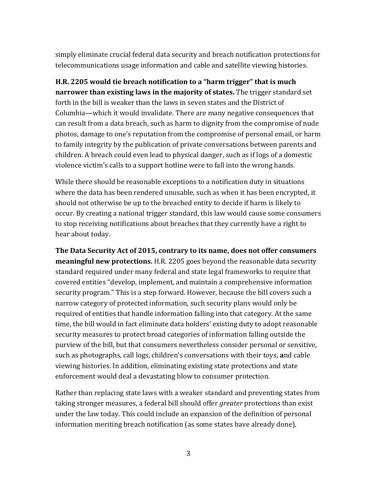simply eliminate crucial federal data security and breach notification protections for telecommunications usage information and cable and satellite viewing histories.

**H.R. 2205 would tie breach notification to a "harm trigger" that is much narrower than existing laws in the majority of states.** The trigger standard set forth in the bill is weaker than the laws in seven states and the District of Columbia—which it would invalidate. There are many negative consequences that can result from a data breach, such as harm to dignity from the compromise of nude photos, damage to one's reputation from the compromise of personal email, or harm to family integrity by the publication of private conversations between parents and children. A breach could even lead to physical danger, such as if logs of a domestic violence victim's calls to a support hotline were to fall into the wrong hands.

While there should be reasonable exceptions to a notification duty in situations where the data has been rendered unusable, such as when it has been encrypted, it should not otherwise be up to the breached entity to decide if harm is likely to occur. By creating a national trigger standard, this law would cause some consumers to stop receiving notifications about breaches that they currently have a right to hear about today.

**The Data Security Act of 2015, contrary to its name, does not offer consumers meaningful new protections.** H.R. 2205 goes beyond the reasonable data security standard required under many federal and state legal frameworks to require that covered entities "develop, implement, and maintain a comprehensive information security program." This is a step forward. However, because the bill covers such a narrow category of protected information, such security plans would only be required of entities that handle information falling into that category. At the same time, the bill would in fact eliminate data holders' existing duty to adopt reasonable security measures to protect broad categories of information falling outside the purview of the bill, but that consumers nevertheless consider personal or sensitive, such as photographs, call logs, children's conversations with their toys, **a**nd cable viewing histories. In addition, eliminating existing state protections and state enforcement would deal a devastating blow to consumer protection.

Rather than replacing state laws with a weaker standard and preventing states from taking stronger measures, a federal bill should offer *greater* protections than exist under the law today. This could include an expansion of the definition of personal information meriting breach notification (as some states have already done),